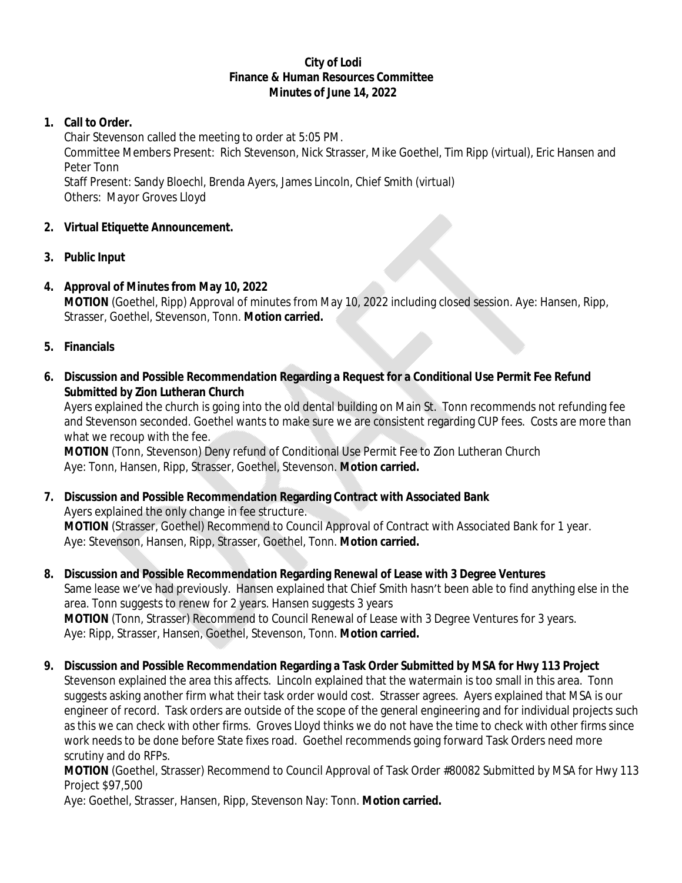#### **City of Lodi Finance & Human Resources Committee Minutes of June 14, 2022**

# **1. Call to Order.**

Chair Stevenson called the meeting to order at 5:05 PM.

Committee Members Present: Rich Stevenson, Nick Strasser, Mike Goethel, Tim Ripp (virtual), Eric Hansen and Peter Tonn

Staff Present: Sandy Bloechl, Brenda Ayers, James Lincoln, Chief Smith (virtual) Others: Mayor Groves Lloyd

# **2. Virtual Etiquette Announcement.**

**3. Public Input**

# **4. Approval of Minutes from May 10, 2022**

**MOTION** (Goethel, Ripp) Approval of minutes from May 10, 2022 including closed session. Aye: Hansen, Ripp, Strasser, Goethel, Stevenson, Tonn. **Motion carried.**

## **5. Financials**

**6. Discussion and Possible Recommendation Regarding a Request for a Conditional Use Permit Fee Refund Submitted by Zion Lutheran Church**

Ayers explained the church is going into the old dental building on Main St. Tonn recommends not refunding fee and Stevenson seconded. Goethel wants to make sure we are consistent regarding CUP fees. Costs are more than what we recoup with the fee.

**MOTION** (Tonn, Stevenson) Deny refund of Conditional Use Permit Fee to Zion Lutheran Church Aye: Tonn, Hansen, Ripp, Strasser, Goethel, Stevenson. **Motion carried.**

- **7. Discussion and Possible Recommendation Regarding Contract with Associated Bank** Ayers explained the only change in fee structure. **MOTION** (Strasser, Goethel) Recommend to Council Approval of Contract with Associated Bank for 1 year. Aye: Stevenson, Hansen, Ripp, Strasser, Goethel, Tonn. **Motion carried.**
- **8. Discussion and Possible Recommendation Regarding Renewal of Lease with 3 Degree Ventures** Same lease we've had previously. Hansen explained that Chief Smith hasn't been able to find anything else in the area. Tonn suggests to renew for 2 years. Hansen suggests 3 years **MOTION** (Tonn, Strasser) Recommend to Council Renewal of Lease with 3 Degree Ventures for 3 years. Aye: Ripp, Strasser, Hansen, Goethel, Stevenson, Tonn. **Motion carried.**
- **9. Discussion and Possible Recommendation Regarding a Task Order Submitted by MSA for Hwy 113 Project** Stevenson explained the area this affects. Lincoln explained that the watermain is too small in this area. Tonn suggests asking another firm what their task order would cost. Strasser agrees. Ayers explained that MSA is our engineer of record. Task orders are outside of the scope of the general engineering and for individual projects such as this we can check with other firms. Groves Lloyd thinks we do not have the time to check with other firms since work needs to be done before State fixes road. Goethel recommends going forward Task Orders need more scrutiny and do RFPs.

**MOTION** (Goethel, Strasser) Recommend to Council Approval of Task Order #80082 Submitted by MSA for Hwy 113 Project \$97,500

Aye: Goethel, Strasser, Hansen, Ripp, Stevenson Nay: Tonn. **Motion carried.**